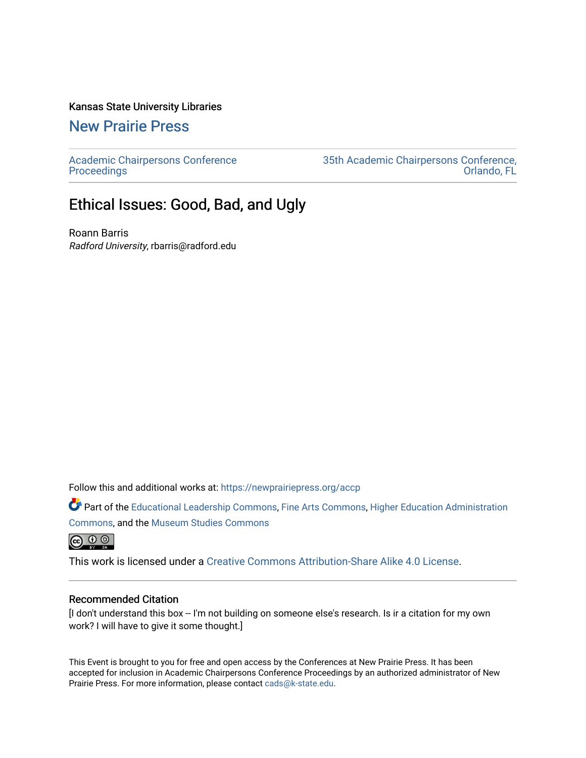## Kansas State University Libraries

## [New Prairie Press](https://newprairiepress.org/)

[Academic Chairpersons Conference](https://newprairiepress.org/accp)  **Proceedings** 

[35th Academic Chairpersons Conference,](https://newprairiepress.org/accp/2018)  [Orlando, FL](https://newprairiepress.org/accp/2018) 

## Ethical Issues: Good, Bad, and Ugly

Roann Barris Radford University, rbarris@radford.edu

Follow this and additional works at: [https://newprairiepress.org/accp](https://newprairiepress.org/accp?utm_source=newprairiepress.org%2Faccp%2F2018%2Ftrends%2F6&utm_medium=PDF&utm_campaign=PDFCoverPages) 

Part of the [Educational Leadership Commons,](http://network.bepress.com/hgg/discipline/1230?utm_source=newprairiepress.org%2Faccp%2F2018%2Ftrends%2F6&utm_medium=PDF&utm_campaign=PDFCoverPages) [Fine Arts Commons](http://network.bepress.com/hgg/discipline/1141?utm_source=newprairiepress.org%2Faccp%2F2018%2Ftrends%2F6&utm_medium=PDF&utm_campaign=PDFCoverPages), Higher Education Administration [Commons](http://network.bepress.com/hgg/discipline/791?utm_source=newprairiepress.org%2Faccp%2F2018%2Ftrends%2F6&utm_medium=PDF&utm_campaign=PDFCoverPages), and the [Museum Studies Commons](http://network.bepress.com/hgg/discipline/1366?utm_source=newprairiepress.org%2Faccp%2F2018%2Ftrends%2F6&utm_medium=PDF&utm_campaign=PDFCoverPages)

 $\circledcirc$ 

This work is licensed under a [Creative Commons Attribution-Share Alike 4.0 License.](https://creativecommons.org/licenses/by-sa/4.0/)

## Recommended Citation

[I don't understand this box -- I'm not building on someone else's research. Is ir a citation for my own work? I will have to give it some thought.]

This Event is brought to you for free and open access by the Conferences at New Prairie Press. It has been accepted for inclusion in Academic Chairpersons Conference Proceedings by an authorized administrator of New Prairie Press. For more information, please contact [cads@k-state.edu.](mailto:cads@k-state.edu)